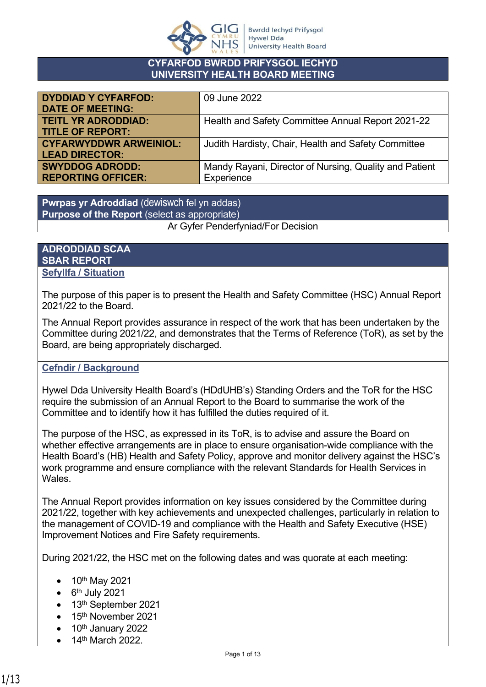

#### **CYFARFOD BWRDD PRIFYSGOL IECHYD UNIVERSITY HEALTH BOARD MEETING**

| 09 June 2022                                           |
|--------------------------------------------------------|
|                                                        |
| Health and Safety Committee Annual Report 2021-22      |
|                                                        |
| Judith Hardisty, Chair, Health and Safety Committee    |
|                                                        |
| Mandy Rayani, Director of Nursing, Quality and Patient |
| Experience                                             |
|                                                        |

**Pwrpas yr Adroddiad** (dewiswch fel yn addas) **Purpose of the Report** (select as appropriate) Ar Gyfer Penderfyniad/For Decision

### **ADRODDIAD SCAA SBAR REPORT Sefyllfa / Situation**

The purpose of this paper is to present the Health and Safety Committee (HSC) Annual Report 2021/22 to the Board.

The Annual Report provides assurance in respect of the work that has been undertaken by the Committee during 2021/22, and demonstrates that the Terms of Reference (ToR), as set by the Board, are being appropriately discharged.

# **Cefndir / Background**

Hywel Dda University Health Board's (HDdUHB's) Standing Orders and the ToR for the HSC require the submission of an Annual Report to the Board to summarise the work of the Committee and to identify how it has fulfilled the duties required of it.

The purpose of the HSC, as expressed in its ToR, is to advise and assure the Board on whether effective arrangements are in place to ensure organisation-wide compliance with the Health Board's (HB) Health and Safety Policy, approve and monitor delivery against the HSC's work programme and ensure compliance with the relevant Standards for Health Services in **Wales** 

The Annual Report provides information on key issues considered by the Committee during 2021/22, together with key achievements and unexpected challenges, particularly in relation to the management of COVID-19 and compliance with the Health and Safety Executive (HSE) Improvement Notices and Fire Safety requirements.

During 2021/22, the HSC met on the following dates and was quorate at each meeting:

- 10<sup>th</sup> May 2021
- $\bullet$  6<sup>th</sup> July 2021
- 13<sup>th</sup> September 2021
- 15<sup>th</sup> November 2021
- $\bullet$  10<sup>th</sup> January 2022
- 14<sup>th</sup> March 2022.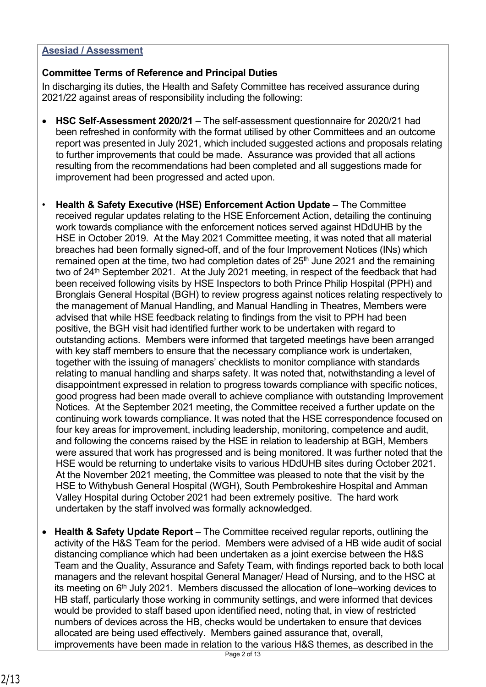## **Asesiad / Assessment**

# **Committee Terms of Reference and Principal Duties**

In discharging its duties, the Health and Safety Committee has received assurance during 2021/22 against areas of responsibility including the following:

- **HSC Self-Assessment 2020/21** The self-assessment questionnaire for 2020/21 had been refreshed in conformity with the format utilised by other Committees and an outcome report was presented in July 2021, which included suggested actions and proposals relating to further improvements that could be made. Assurance was provided that all actions resulting from the recommendations had been completed and all suggestions made for improvement had been progressed and acted upon.
- **Health & Safety Executive (HSE) Enforcement Action Update** The Committee received regular updates relating to the HSE Enforcement Action, detailing the continuing work towards compliance with the enforcement notices served against HDdUHB by the HSE in October 2019. At the May 2021 Committee meeting, it was noted that all material breaches had been formally signed-off, and of the four Improvement Notices (INs) which remained open at the time, two had completion dates of 25<sup>th</sup> June 2021 and the remaining two of 24<sup>th</sup> September 2021. At the July 2021 meeting, in respect of the feedback that had been received following visits by HSE Inspectors to both Prince Philip Hospital (PPH) and Bronglais General Hospital (BGH) to review progress against notices relating respectively to the management of Manual Handling, and Manual Handling in Theatres, Members were advised that while HSE feedback relating to findings from the visit to PPH had been positive, the BGH visit had identified further work to be undertaken with regard to outstanding actions. Members were informed that targeted meetings have been arranged with key staff members to ensure that the necessary compliance work is undertaken, together with the issuing of managers' checklists to monitor compliance with standards relating to manual handling and sharps safety. It was noted that, notwithstanding a level of disappointment expressed in relation to progress towards compliance with specific notices, good progress had been made overall to achieve compliance with outstanding Improvement Notices. At the September 2021 meeting, the Committee received a further update on the continuing work towards compliance. It was noted that the HSE correspondence focused on four key areas for improvement, including leadership, monitoring, competence and audit, and following the concerns raised by the HSE in relation to leadership at BGH, Members were assured that work has progressed and is being monitored. It was further noted that the HSE would be returning to undertake visits to various HDdUHB sites during October 2021. At the November 2021 meeting, the Committee was pleased to note that the visit by the HSE to Withybush General Hospital (WGH), South Pembrokeshire Hospital and Amman Valley Hospital during October 2021 had been extremely positive. The hard work undertaken by the staff involved was formally acknowledged.
- **Health & Safety Update Report** The Committee received regular reports, outlining the activity of the H&S Team for the period. Members were advised of a HB wide audit of social distancing compliance which had been undertaken as a joint exercise between the H&S Team and the Quality, Assurance and Safety Team, with findings reported back to both local managers and the relevant hospital General Manager/ Head of Nursing, and to the HSC at its meeting on 6th July 2021. Members discussed the allocation of lone–working devices to HB staff, particularly those working in community settings, and were informed that devices would be provided to staff based upon identified need, noting that, in view of restricted numbers of devices across the HB, checks would be undertaken to ensure that devices allocated are being used effectively. Members gained assurance that, overall, improvements have been made in relation to the various H&S themes, as described in the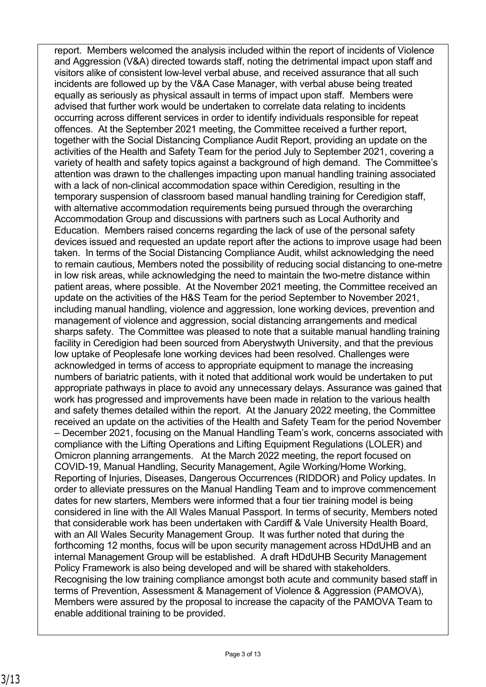report. Members welcomed the analysis included within the report of incidents of Violence and Aggression (V&A) directed towards staff, noting the detrimental impact upon staff and visitors alike of consistent low-level verbal abuse, and received assurance that all such incidents are followed up by the V&A Case Manager, with verbal abuse being treated equally as seriously as physical assault in terms of impact upon staff. Members were advised that further work would be undertaken to correlate data relating to incidents occurring across different services in order to identify individuals responsible for repeat offences. At the September 2021 meeting, the Committee received a further report, together with the Social Distancing Compliance Audit Report, providing an update on the activities of the Health and Safety Team for the period July to September 2021, covering a variety of health and safety topics against a background of high demand. The Committee's attention was drawn to the challenges impacting upon manual handling training associated with a lack of non-clinical accommodation space within Ceredigion, resulting in the temporary suspension of classroom based manual handling training for Ceredigion staff, with alternative accommodation requirements being pursued through the overarching Accommodation Group and discussions with partners such as Local Authority and Education. Members raised concerns regarding the lack of use of the personal safety devices issued and requested an update report after the actions to improve usage had been taken. In terms of the Social Distancing Compliance Audit, whilst acknowledging the need to remain cautious, Members noted the possibility of reducing social distancing to one-metre in low risk areas, while acknowledging the need to maintain the two-metre distance within patient areas, where possible. At the November 2021 meeting, the Committee received an update on the activities of the H&S Team for the period September to November 2021, including manual handling, violence and aggression, lone working devices, prevention and management of violence and aggression, social distancing arrangements and medical sharps safety. The Committee was pleased to note that a suitable manual handling training facility in Ceredigion had been sourced from Aberystwyth University, and that the previous low uptake of Peoplesafe lone working devices had been resolved. Challenges were acknowledged in terms of access to appropriate equipment to manage the increasing numbers of bariatric patients, with it noted that additional work would be undertaken to put appropriate pathways in place to avoid any unnecessary delays. Assurance was gained that work has progressed and improvements have been made in relation to the various health and safety themes detailed within the report. At the January 2022 meeting, the Committee received an update on the activities of the Health and Safety Team for the period November – December 2021, focusing on the Manual Handling Team's work, concerns associated with compliance with the Lifting Operations and Lifting Equipment Regulations (LOLER) and Omicron planning arrangements. At the March 2022 meeting, the report focused on COVID-19, Manual Handling, Security Management, Agile Working/Home Working, Reporting of Injuries, Diseases, Dangerous Occurrences (RIDDOR) and Policy updates. In order to alleviate pressures on the Manual Handling Team and to improve commencement dates for new starters, Members were informed that a four tier training model is being considered in line with the All Wales Manual Passport. In terms of security, Members noted that considerable work has been undertaken with Cardiff & Vale University Health Board, with an All Wales Security Management Group. It was further noted that during the forthcoming 12 months, focus will be upon security management across HDdUHB and an internal Management Group will be established. A draft HDdUHB Security Management Policy Framework is also being developed and will be shared with stakeholders. Recognising the low training compliance amongst both acute and community based staff in terms of Prevention, Assessment & Management of Violence & Aggression (PAMOVA), Members were assured by the proposal to increase the capacity of the PAMOVA Team to enable additional training to be provided.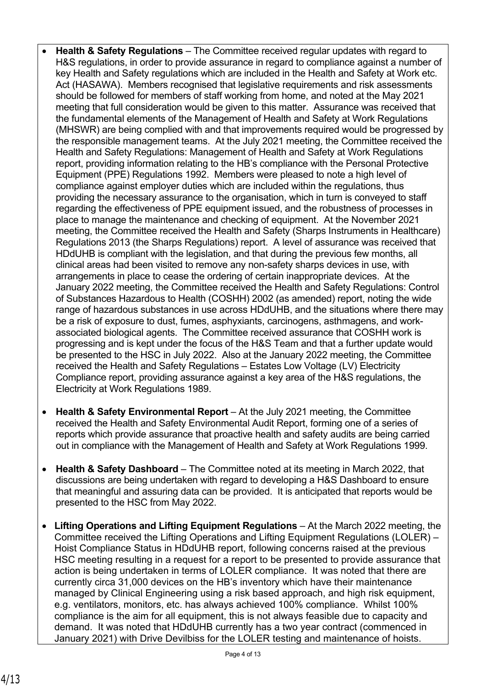- **Health & Safety Regulations** The Committee received regular updates with regard to H&S regulations, in order to provide assurance in regard to compliance against a number of key Health and Safety regulations which are included in the Health and Safety at Work etc. Act (HASAWA). Members recognised that legislative requirements and risk assessments should be followed for members of staff working from home, and noted at the May 2021 meeting that full consideration would be given to this matter. Assurance was received that the fundamental elements of the Management of Health and Safety at Work Regulations (MHSWR) are being complied with and that improvements required would be progressed by the responsible management teams. At the July 2021 meeting, the Committee received the Health and Safety Regulations: Management of Health and Safety at Work Regulations report, providing information relating to the HB's compliance with the Personal Protective Equipment (PPE) Regulations 1992. Members were pleased to note a high level of compliance against employer duties which are included within the regulations, thus providing the necessary assurance to the organisation, which in turn is conveyed to staff regarding the effectiveness of PPE equipment issued, and the robustness of processes in place to manage the maintenance and checking of equipment. At the November 2021 meeting, the Committee received the Health and Safety (Sharps Instruments in Healthcare) Regulations 2013 (the Sharps Regulations) report. A level of assurance was received that HDdUHB is compliant with the legislation, and that during the previous few months, all clinical areas had been visited to remove any non-safety sharps devices in use, with arrangements in place to cease the ordering of certain inappropriate devices. At the January 2022 meeting, the Committee received the Health and Safety Regulations: Control of Substances Hazardous to Health (COSHH) 2002 (as amended) report, noting the wide range of hazardous substances in use across HDdUHB, and the situations where there may be a risk of exposure to dust, fumes, asphyxiants, carcinogens, asthmagens, and workassociated biological agents. The Committee received assurance that COSHH work is progressing and is kept under the focus of the H&S Team and that a further update would be presented to the HSC in July 2022. Also at the January 2022 meeting, the Committee received the Health and Safety Regulations – Estates Low Voltage (LV) Electricity Compliance report, providing assurance against a key area of the H&S regulations, the Electricity at Work Regulations 1989.
- **Health & Safety Environmental Report**  At the July 2021 meeting, the Committee received the Health and Safety Environmental Audit Report, forming one of a series of reports which provide assurance that proactive health and safety audits are being carried out in compliance with the Management of Health and Safety at Work Regulations 1999.
- **Health & Safety Dashboard** The Committee noted at its meeting in March 2022, that discussions are being undertaken with regard to developing a H&S Dashboard to ensure that meaningful and assuring data can be provided. It is anticipated that reports would be presented to the HSC from May 2022.
- **Lifting Operations and Lifting Equipment Regulations** At the March 2022 meeting, the Committee received the Lifting Operations and Lifting Equipment Regulations (LOLER) – Hoist Compliance Status in HDdUHB report, following concerns raised at the previous HSC meeting resulting in a request for a report to be presented to provide assurance that action is being undertaken in terms of LOLER compliance. It was noted that there are currently circa 31,000 devices on the HB's inventory which have their maintenance managed by Clinical Engineering using a risk based approach, and high risk equipment, e.g. ventilators, monitors, etc. has always achieved 100% compliance. Whilst 100% compliance is the aim for all equipment, this is not always feasible due to capacity and demand. It was noted that HDdUHB currently has a two year contract (commenced in January 2021) with Drive Devilbiss for the LOLER testing and maintenance of hoists.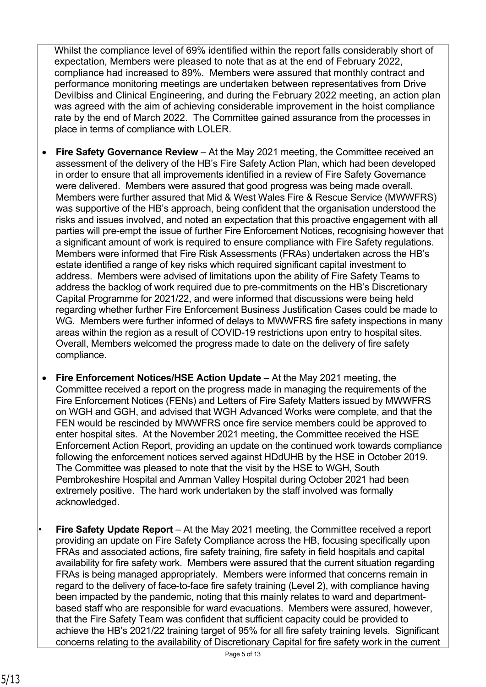Whilst the compliance level of 69% identified within the report falls considerably short of expectation, Members were pleased to note that as at the end of February 2022, compliance had increased to 89%. Members were assured that monthly contract and performance monitoring meetings are undertaken between representatives from Drive Devilbiss and Clinical Engineering, and during the February 2022 meeting, an action plan was agreed with the aim of achieving considerable improvement in the hoist compliance rate by the end of March 2022. The Committee gained assurance from the processes in place in terms of compliance with LOLER.

- **Fire Safety Governance Review** At the May 2021 meeting, the Committee received an assessment of the delivery of the HB's Fire Safety Action Plan, which had been developed in order to ensure that all improvements identified in a review of Fire Safety Governance were delivered. Members were assured that good progress was being made overall. Members were further assured that Mid & West Wales Fire & Rescue Service (MWWFRS) was supportive of the HB's approach, being confident that the organisation understood the risks and issues involved, and noted an expectation that this proactive engagement with all parties will pre-empt the issue of further Fire Enforcement Notices, recognising however that a significant amount of work is required to ensure compliance with Fire Safety regulations. Members were informed that Fire Risk Assessments (FRAs) undertaken across the HB's estate identified a range of key risks which required significant capital investment to address. Members were advised of limitations upon the ability of Fire Safety Teams to address the backlog of work required due to pre-commitments on the HB's Discretionary Capital Programme for 2021/22, and were informed that discussions were being held regarding whether further Fire Enforcement Business Justification Cases could be made to WG. Members were further informed of delays to MWWFRS fire safety inspections in many areas within the region as a result of COVID-19 restrictions upon entry to hospital sites. Overall, Members welcomed the progress made to date on the delivery of fire safety compliance.
- **Fire Enforcement Notices/HSE Action Update**  At the May 2021 meeting, the Committee received a report on the progress made in managing the requirements of the Fire Enforcement Notices (FENs) and Letters of Fire Safety Matters issued by MWWFRS on WGH and GGH, and advised that WGH Advanced Works were complete, and that the FEN would be rescinded by MWWFRS once fire service members could be approved to enter hospital sites. At the November 2021 meeting, the Committee received the HSE Enforcement Action Report, providing an update on the continued work towards compliance following the enforcement notices served against HDdUHB by the HSE in October 2019. The Committee was pleased to note that the visit by the HSE to WGH, South Pembrokeshire Hospital and Amman Valley Hospital during October 2021 had been extremely positive. The hard work undertaken by the staff involved was formally acknowledged.
- **Fire Safety Update Report** At the May 2021 meeting, the Committee received a report providing an update on Fire Safety Compliance across the HB, focusing specifically upon FRAs and associated actions, fire safety training, fire safety in field hospitals and capital availability for fire safety work. Members were assured that the current situation regarding FRAs is being managed appropriately. Members were informed that concerns remain in regard to the delivery of face-to-face fire safety training (Level 2), with compliance having been impacted by the pandemic, noting that this mainly relates to ward and departmentbased staff who are responsible for ward evacuations. Members were assured, however, that the Fire Safety Team was confident that sufficient capacity could be provided to achieve the HB's 2021/22 training target of 95% for all fire safety training levels. Significant concerns relating to the availability of Discretionary Capital for fire safety work in the current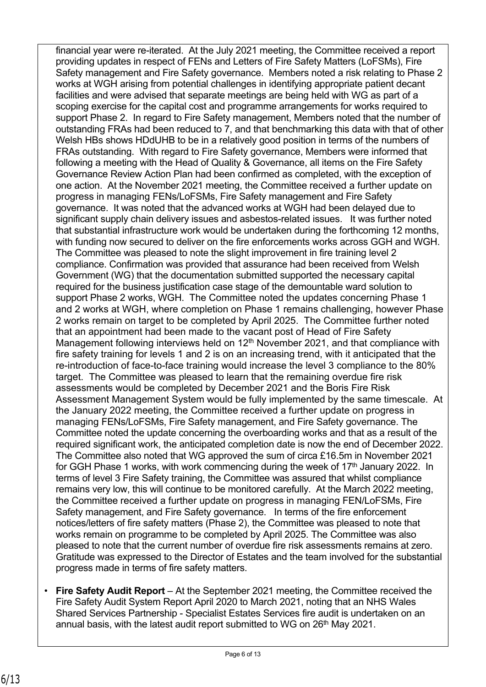financial year were re-iterated. At the July 2021 meeting, the Committee received a report providing updates in respect of FENs and Letters of Fire Safety Matters (LoFSMs), Fire Safety management and Fire Safety governance. Members noted a risk relating to Phase 2 works at WGH arising from potential challenges in identifying appropriate patient decant facilities and were advised that separate meetings are being held with WG as part of a scoping exercise for the capital cost and programme arrangements for works required to support Phase 2. In regard to Fire Safety management, Members noted that the number of outstanding FRAs had been reduced to 7, and that benchmarking this data with that of other Welsh HBs shows HDdUHB to be in a relatively good position in terms of the numbers of FRAs outstanding. With regard to Fire Safety governance, Members were informed that following a meeting with the Head of Quality & Governance, all items on the Fire Safety Governance Review Action Plan had been confirmed as completed, with the exception of one action. At the November 2021 meeting, the Committee received a further update on progress in managing FENs/LoFSMs, Fire Safety management and Fire Safety governance. It was noted that the advanced works at WGH had been delayed due to significant supply chain delivery issues and asbestos-related issues. It was further noted that substantial infrastructure work would be undertaken during the forthcoming 12 months, with funding now secured to deliver on the fire enforcements works across GGH and WGH. The Committee was pleased to note the slight improvement in fire training level 2 compliance. Confirmation was provided that assurance had been received from Welsh Government (WG) that the documentation submitted supported the necessary capital required for the business justification case stage of the demountable ward solution to support Phase 2 works, WGH. The Committee noted the updates concerning Phase 1 and 2 works at WGH, where completion on Phase 1 remains challenging, however Phase 2 works remain on target to be completed by April 2025. The Committee further noted that an appointment had been made to the vacant post of Head of Fire Safety Management following interviews held on 12<sup>th</sup> November 2021, and that compliance with fire safety training for levels 1 and 2 is on an increasing trend, with it anticipated that the re-introduction of face-to-face training would increase the level 3 compliance to the 80% target. The Committee was pleased to learn that the remaining overdue fire risk assessments would be completed by December 2021 and the Boris Fire Risk Assessment Management System would be fully implemented by the same timescale. At the January 2022 meeting, the Committee received a further update on progress in managing FENs/LoFSMs, Fire Safety management, and Fire Safety governance. The Committee noted the update concerning the overboarding works and that as a result of the required significant work, the anticipated completion date is now the end of December 2022. The Committee also noted that WG approved the sum of circa £16.5m in November 2021 for GGH Phase 1 works, with work commencing during the week of 17<sup>th</sup> January 2022. In terms of level 3 Fire Safety training, the Committee was assured that whilst compliance remains very low, this will continue to be monitored carefully. At the March 2022 meeting, the Committee received a further update on progress in managing FEN/LoFSMs, Fire Safety management, and Fire Safety governance. In terms of the fire enforcement notices/letters of fire safety matters (Phase 2), the Committee was pleased to note that works remain on programme to be completed by April 2025. The Committee was also pleased to note that the current number of overdue fire risk assessments remains at zero. Gratitude was expressed to the Director of Estates and the team involved for the substantial progress made in terms of fire safety matters.

• **Fire Safety Audit Report** – At the September 2021 meeting, the Committee received the Fire Safety Audit System Report April 2020 to March 2021, noting that an NHS Wales Shared Services Partnership - Specialist Estates Services fire audit is undertaken on an annual basis, with the latest audit report submitted to WG on 26<sup>th</sup> May 2021.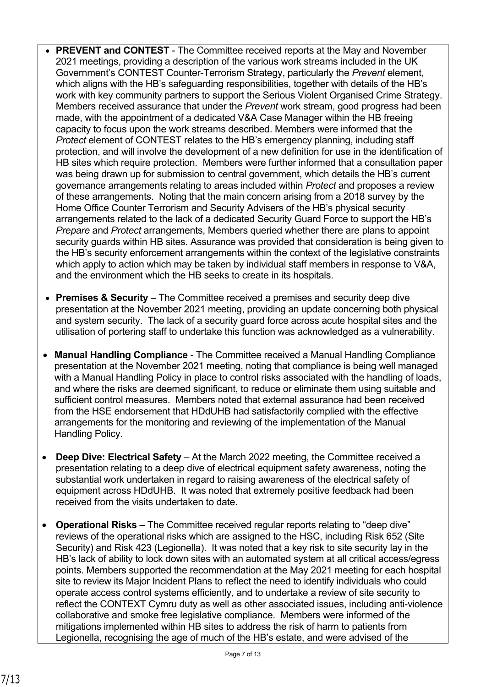- **PREVENT and CONTEST** The Committee received reports at the May and November 2021 meetings, providing a description of the various work streams included in the UK Government's CONTEST Counter-Terrorism Strategy, particularly the *Prevent* element, which aligns with the HB's safeguarding responsibilities, together with details of the HB's work with key community partners to support the Serious Violent Organised Crime Strategy. Members received assurance that under the *Prevent* work stream, good progress had been made, with the appointment of a dedicated V&A Case Manager within the HB freeing capacity to focus upon the work streams described. Members were informed that the *Protect* element of CONTEST relates to the HB's emergency planning, including staff protection, and will involve the development of a new definition for use in the identification of HB sites which require protection. Members were further informed that a consultation paper was being drawn up for submission to central government, which details the HB's current governance arrangements relating to areas included within *Protect* and proposes a review of these arrangements. Noting that the main concern arising from a 2018 survey by the Home Office Counter Terrorism and Security Advisers of the HB's physical security arrangements related to the lack of a dedicated Security Guard Force to support the HB's *Prepare* and *Protect* arrangements, Members queried whether there are plans to appoint security guards within HB sites. Assurance was provided that consideration is being given to the HB's security enforcement arrangements within the context of the legislative constraints which apply to action which may be taken by individual staff members in response to V&A, and the environment which the HB seeks to create in its hospitals.
- **Premises & Security** The Committee received a premises and security deep dive presentation at the November 2021 meeting, providing an update concerning both physical and system security.The lack of a security guard force across acute hospital sites and the utilisation of portering staff to undertake this function was acknowledged as a vulnerability.
- **Manual Handling Compliance**  The Committee received a Manual Handling Compliance presentation at the November 2021 meeting, noting that compliance is being well managed with a Manual Handling Policy in place to control risks associated with the handling of loads, and where the risks are deemed significant, to reduce or eliminate them using suitable and sufficient control measures. Members noted that external assurance had been received from the HSE endorsement that HDdUHB had satisfactorily complied with the effective arrangements for the monitoring and reviewing of the implementation of the Manual Handling Policy.
- **Deep Dive: Electrical Safety** At the March 2022 meeting, the Committee received a presentation relating to a deep dive of electrical equipment safety awareness, noting the substantial work undertaken in regard to raising awareness of the electrical safety of equipment across HDdUHB. It was noted that extremely positive feedback had been received from the visits undertaken to date.
- **Operational Risks** The Committee received regular reports relating to "deep dive" reviews of the operational risks which are assigned to the HSC, including Risk 652 (Site Security) and Risk 423 (Legionella). It was noted that a key risk to site security lay in the HB's lack of ability to lock down sites with an automated system at all critical access/egress points. Members supported the recommendation at the May 2021 meeting for each hospital site to review its Major Incident Plans to reflect the need to identify individuals who could operate access control systems efficiently, and to undertake a review of site security to reflect the CONTEXT Cymru duty as well as other associated issues, including anti-violence collaborative and smoke free legislative compliance. Members were informed of the mitigations implemented within HB sites to address the risk of harm to patients from Legionella, recognising the age of much of the HB's estate, and were advised of the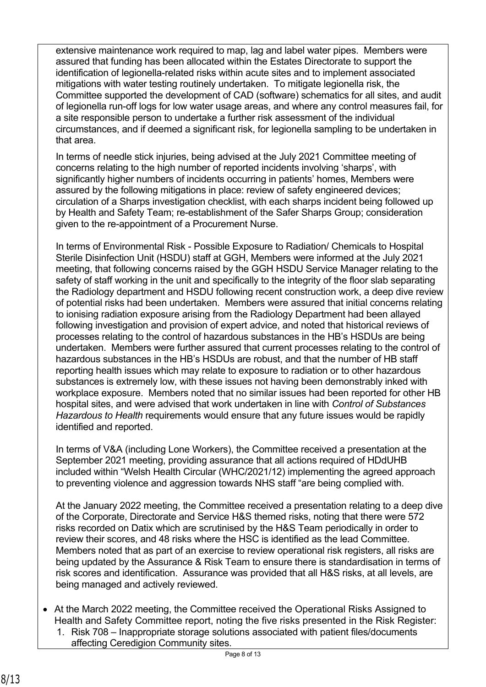extensive maintenance work required to map, lag and label water pipes. Members were assured that funding has been allocated within the Estates Directorate to support the identification of legionella-related risks within acute sites and to implement associated mitigations with water testing routinely undertaken. To mitigate legionella risk, the Committee supported the development of CAD (software) schematics for all sites, and audit of legionella run-off logs for low water usage areas, and where any control measures fail, for a site responsible person to undertake a further risk assessment of the individual circumstances, and if deemed a significant risk, for legionella sampling to be undertaken in that area.

In terms of needle stick injuries, being advised at the July 2021 Committee meeting of concerns relating to the high number of reported incidents involving 'sharps', with significantly higher numbers of incidents occurring in patients' homes, Members were assured by the following mitigations in place: review of safety engineered devices; circulation of a Sharps investigation checklist, with each sharps incident being followed up by Health and Safety Team; re-establishment of the Safer Sharps Group; consideration given to the re-appointment of a Procurement Nurse.

In terms of Environmental Risk - Possible Exposure to Radiation/ Chemicals to Hospital Sterile Disinfection Unit (HSDU) staff at GGH, Members were informed at the July 2021 meeting, that following concerns raised by the GGH HSDU Service Manager relating to the safety of staff working in the unit and specifically to the integrity of the floor slab separating the Radiology department and HSDU following recent construction work, a deep dive review of potential risks had been undertaken. Members were assured that initial concerns relating to ionising radiation exposure arising from the Radiology Department had been allayed following investigation and provision of expert advice, and noted that historical reviews of processes relating to the control of hazardous substances in the HB's HSDUs are being undertaken. Members were further assured that current processes relating to the control of hazardous substances in the HB's HSDUs are robust, and that the number of HB staff reporting health issues which may relate to exposure to radiation or to other hazardous substances is extremely low, with these issues not having been demonstrably inked with workplace exposure. Members noted that no similar issues had been reported for other HB hospital sites, and were advised that work undertaken in line with *Control of Substances Hazardous to Health* requirements would ensure that any future issues would be rapidly identified and reported.

In terms of V&A (including Lone Workers), the Committee received a presentation at the September 2021 meeting, providing assurance that all actions required of HDdUHB included within "Welsh Health Circular (WHC/2021/12) implementing the agreed approach to preventing violence and aggression towards NHS staff "are being complied with.

At the January 2022 meeting, the Committee received a presentation relating to a deep dive of the Corporate, Directorate and Service H&S themed risks, noting that there were 572 risks recorded on Datix which are scrutinised by the H&S Team periodically in order to review their scores, and 48 risks where the HSC is identified as the lead Committee. Members noted that as part of an exercise to review operational risk registers, all risks are being updated by the Assurance & Risk Team to ensure there is standardisation in terms of risk scores and identification. Assurance was provided that all H&S risks, at all levels, are being managed and actively reviewed.

- At the March 2022 meeting, the Committee received the Operational Risks Assigned to Health and Safety Committee report, noting the five risks presented in the Risk Register:
	- 1. Risk 708 Inappropriate storage solutions associated with patient files/documents affecting Ceredigion Community sites.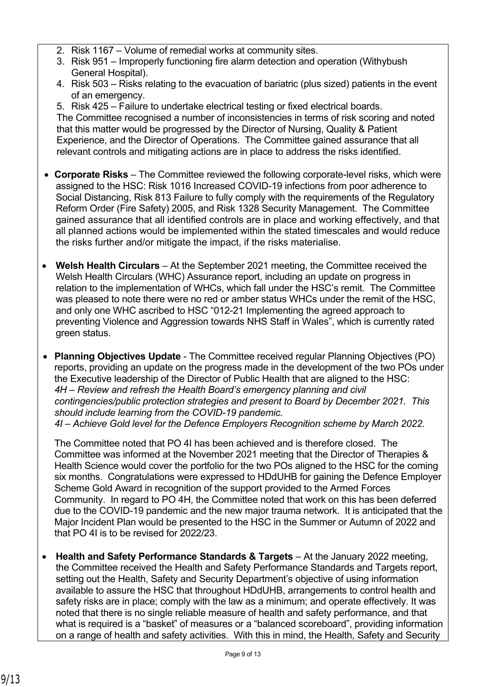- 2. Risk 1167 Volume of remedial works at community sites.
- 3. Risk 951 Improperly functioning fire alarm detection and operation (Withybush General Hospital).
- 4. Risk 503 Risks relating to the evacuation of bariatric (plus sized) patients in the event of an emergency.

5. Risk 425 – Failure to undertake electrical testing or fixed electrical boards. The Committee recognised a number of inconsistencies in terms of risk scoring and noted that this matter would be progressed by the Director of Nursing, Quality & Patient Experience, and the Director of Operations. The Committee gained assurance that all relevant controls and mitigating actions are in place to address the risks identified.

- **Corporate Risks** The Committee reviewed the following corporate-level risks, which were assigned to the HSC: Risk 1016 Increased COVID-19 infections from poor adherence to Social Distancing, Risk 813 Failure to fully comply with the requirements of the Regulatory Reform Order (Fire Safety) 2005, and Risk 1328 Security Management. The Committee gained assurance that all identified controls are in place and working effectively, and that all planned actions would be implemented within the stated timescales and would reduce the risks further and/or mitigate the impact, if the risks materialise.
- Welsh Health Circulars At the September 2021 meeting, the Committee received the Welsh Health Circulars (WHC) Assurance report, including an update on progress in relation to the implementation of WHCs, which fall under the HSC's remit. The Committee was pleased to note there were no red or amber status WHCs under the remit of the HSC, and only one WHC ascribed to HSC "012-21 Implementing the agreed approach to preventing Violence and Aggression towards NHS Staff in Wales", which is currently rated green status.
- **Planning Objectives Update** The Committee received regular Planning Objectives (PO) reports, providing an update on the progress made in the development of the two POs under the Executive leadership of the Director of Public Health that are aligned to the HSC: *4H – Review and refresh the Health Board's emergency planning and civil contingencies/public protection strategies and present to Board by December 2021. This should include learning from the COVID-19 pandemic. 4I – Achieve Gold level for the Defence Employers Recognition scheme by March 2022.*

The Committee noted that PO 4I has been achieved and is therefore closed. The Committee was informed at the November 2021 meeting that the Director of Therapies & Health Science would cover the portfolio for the two POs aligned to the HSC for the coming six months. Congratulations were expressed to HDdUHB for gaining the Defence Employer Scheme Gold Award in recognition of the support provided to the Armed Forces Community. In regard to PO 4H, the Committee noted that work on this has been deferred due to the COVID-19 pandemic and the new major trauma network. It is anticipated that the Major Incident Plan would be presented to the HSC in the Summer or Autumn of 2022 and that PO 4I is to be revised for 2022/23.

• **Health and Safety Performance Standards & Targets** – At the January 2022 meeting, the Committee received the Health and Safety Performance Standards and Targets report, setting out the Health, Safety and Security Department's objective of using information available to assure the HSC that throughout HDdUHB, arrangements to control health and safety risks are in place; comply with the law as a minimum; and operate effectively. It was noted that there is no single reliable measure of health and safety performance, and that what is required is a "basket" of measures or a "balanced scoreboard", providing information on a range of health and safety activities. With this in mind, the Health, Safety and Security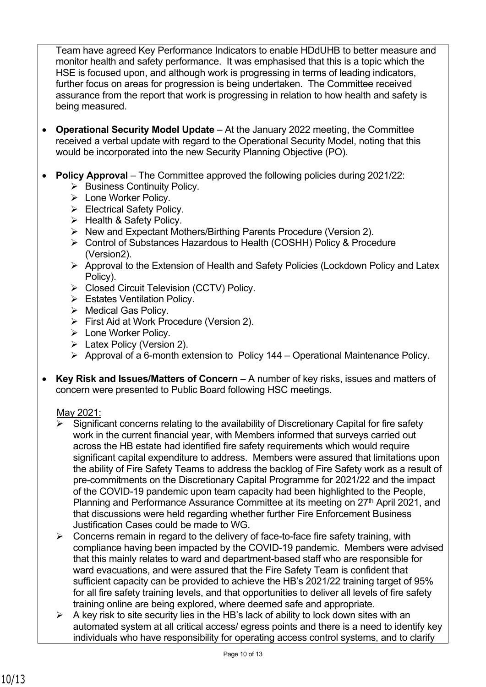Team have agreed Key Performance Indicators to enable HDdUHB to better measure and monitor health and safety performance. It was emphasised that this is a topic which the HSE is focused upon, and although work is progressing in terms of leading indicators, further focus on areas for progression is being undertaken. The Committee received assurance from the report that work is progressing in relation to how health and safety is being measured.

- **Operational Security Model Update** At the January 2022 meeting, the Committee received a verbal update with regard to the Operational Security Model, noting that this would be incorporated into the new Security Planning Objective (PO).
- **Policy Approval** The Committee approved the following policies during 2021/22:
	- ➢ Business Continuity Policy.
	- ➢ Lone Worker Policy.
	- ➢ Electrical Safety Policy.
	- ➢ Health & Safety Policy.
	- ➢ New and Expectant Mothers/Birthing Parents Procedure (Version 2).
	- ➢ Control of Substances Hazardous to Health (COSHH) Policy & Procedure (Version2).
	- ➢ Approval to the Extension of Health and Safety Policies (Lockdown Policy and Latex Policy).
	- ➢ Closed Circuit Television (CCTV) Policy.
	- ➢ Estates Ventilation Policy.
	- ➢ Medical Gas Policy.
	- ➢ First Aid at Work Procedure (Version 2).
	- ➢ Lone Worker Policy.
	- ➢ Latex Policy (Version 2).
	- ➢ Approval of a 6-month extension to Policy 144 Operational Maintenance Policy.
- **Key Risk and Issues/Matters of Concern** A number of key risks, issues and matters of concern were presented to Public Board following HSC meetings.

# May 2021:

- Significant concerns relating to the availability of Discretionary Capital for fire safety work in the current financial year, with Members informed that surveys carried out across the HB estate had identified fire safety requirements which would require significant capital expenditure to address. Members were assured that limitations upon the ability of Fire Safety Teams to address the backlog of Fire Safety work as a result of pre-commitments on the Discretionary Capital Programme for 2021/22 and the impact of the COVID-19 pandemic upon team capacity had been highlighted to the People, Planning and Performance Assurance Committee at its meeting on 27<sup>th</sup> April 2021, and that discussions were held regarding whether further Fire Enforcement Business Justification Cases could be made to WG.
- $\triangleright$  Concerns remain in regard to the delivery of face-to-face fire safety training, with compliance having been impacted by the COVID-19 pandemic. Members were advised that this mainly relates to ward and department-based staff who are responsible for ward evacuations, and were assured that the Fire Safety Team is confident that sufficient capacity can be provided to achieve the HB's 2021/22 training target of 95% for all fire safety training levels, and that opportunities to deliver all levels of fire safety training online are being explored, where deemed safe and appropriate.
- $\triangleright$  A key risk to site security lies in the HB's lack of ability to lock down sites with an automated system at all critical access/ egress points and there is a need to identify key individuals who have responsibility for operating access control systems, and to clarify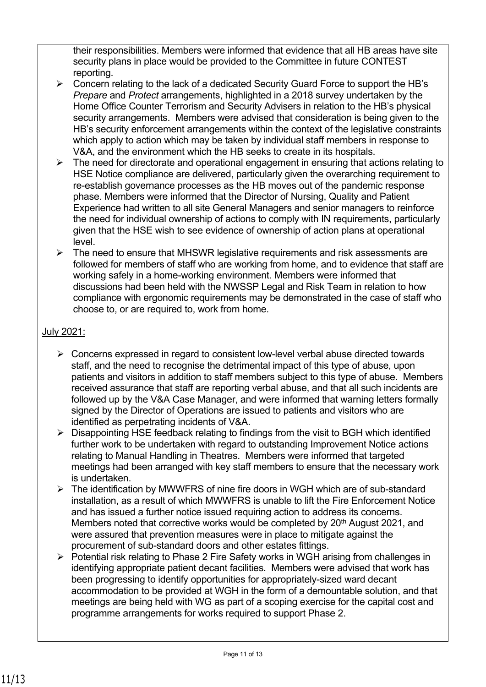their responsibilities. Members were informed that evidence that all HB areas have site security plans in place would be provided to the Committee in future CONTEST reporting.

- ➢ Concern relating to the lack of a dedicated Security Guard Force to support the HB's *Prepare* and *Protect* arrangements, highlighted in a 2018 survey undertaken by the Home Office Counter Terrorism and Security Advisers in relation to the HB's physical security arrangements. Members were advised that consideration is being given to the HB's security enforcement arrangements within the context of the legislative constraints which apply to action which may be taken by individual staff members in response to V&A, and the environment which the HB seeks to create in its hospitals.
- $\triangleright$  The need for directorate and operational engagement in ensuring that actions relating to HSE Notice compliance are delivered, particularly given the overarching requirement to re-establish governance processes as the HB moves out of the pandemic response phase. Members were informed that the Director of Nursing, Quality and Patient Experience had written to all site General Managers and senior managers to reinforce the need for individual ownership of actions to comply with IN requirements, particularly given that the HSE wish to see evidence of ownership of action plans at operational level.
- ➢ The need to ensure that MHSWR legislative requirements and risk assessments are followed for members of staff who are working from home, and to evidence that staff are working safely in a home-working environment. Members were informed that discussions had been held with the NWSSP Legal and Risk Team in relation to how compliance with ergonomic requirements may be demonstrated in the case of staff who choose to, or are required to, work from home.

# July 2021:

- $\triangleright$  Concerns expressed in regard to consistent low-level verbal abuse directed towards staff, and the need to recognise the detrimental impact of this type of abuse, upon patients and visitors in addition to staff members subject to this type of abuse. Members received assurance that staff are reporting verbal abuse, and that all such incidents are followed up by the V&A Case Manager, and were informed that warning letters formally signed by the Director of Operations are issued to patients and visitors who are identified as perpetrating incidents of V&A.
- ➢ Disappointing HSE feedback relating to findings from the visit to BGH which identified further work to be undertaken with regard to outstanding Improvement Notice actions relating to Manual Handling in Theatres. Members were informed that targeted meetings had been arranged with key staff members to ensure that the necessary work is undertaken.
- ➢ The identification by MWWFRS of nine fire doors in WGH which are of sub-standard installation, as a result of which MWWFRS is unable to lift the Fire Enforcement Notice and has issued a further notice issued requiring action to address its concerns. Members noted that corrective works would be completed by  $20<sup>th</sup>$  August 2021, and were assured that prevention measures were in place to mitigate against the procurement of sub-standard doors and other estates fittings.
- ➢ Potential risk relating to Phase 2 Fire Safety works in WGH arising from challenges in identifying appropriate patient decant facilities. Members were advised that work has been progressing to identify opportunities for appropriately-sized ward decant accommodation to be provided at WGH in the form of a demountable solution, and that meetings are being held with WG as part of a scoping exercise for the capital cost and programme arrangements for works required to support Phase 2.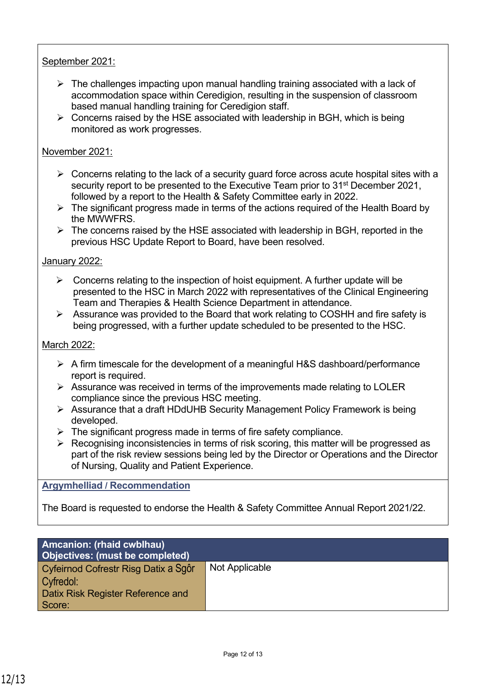# September 2021:

- $\triangleright$  The challenges impacting upon manual handling training associated with a lack of accommodation space within Ceredigion, resulting in the suspension of classroom based manual handling training for Ceredigion staff.
- $\triangleright$  Concerns raised by the HSE associated with leadership in BGH, which is being monitored as work progresses.

## November 2021:

- $\triangleright$  Concerns relating to the lack of a security guard force across acute hospital sites with a security report to be presented to the Executive Team prior to 31<sup>st</sup> December 2021, followed by a report to the Health & Safety Committee early in 2022.
- $\triangleright$  The significant progress made in terms of the actions required of the Health Board by the MWWFRS.
- $\triangleright$  The concerns raised by the HSE associated with leadership in BGH, reported in the previous HSC Update Report to Board, have been resolved.

### January 2022:

- $\triangleright$  Concerns relating to the inspection of hoist equipment. A further update will be presented to the HSC in March 2022 with representatives of the Clinical Engineering Team and Therapies & Health Science Department in attendance.
- ➢ Assurance was provided to the Board that work relating to COSHH and fire safety is being progressed, with a further update scheduled to be presented to the HSC.

### March 2022:

- ➢ A firm timescale for the development of a meaningful H&S dashboard/performance report is required.
- $\triangleright$  Assurance was received in terms of the improvements made relating to LOLER compliance since the previous HSC meeting.
- ➢ Assurance that a draft HDdUHB Security Management Policy Framework is being developed.
- $\triangleright$  The significant progress made in terms of fire safety compliance.
- ➢ Recognising inconsistencies in terms of risk scoring, this matter will be progressed as part of the risk review sessions being led by the Director or Operations and the Director of Nursing, Quality and Patient Experience.

### **Argymhelliad / Recommendation**

The Board is requested to endorse the Health & Safety Committee Annual Report 2021/22.

| <b>Amcanion: (rhaid cwblhau)</b><br>Objectives: (must be completed) |                |
|---------------------------------------------------------------------|----------------|
| Cyfeirnod Cofrestr Risg Datix a Sgôr                                | Not Applicable |
| Cyfredol:                                                           |                |
| <b>Datix Risk Register Reference and</b>                            |                |
| Score:                                                              |                |